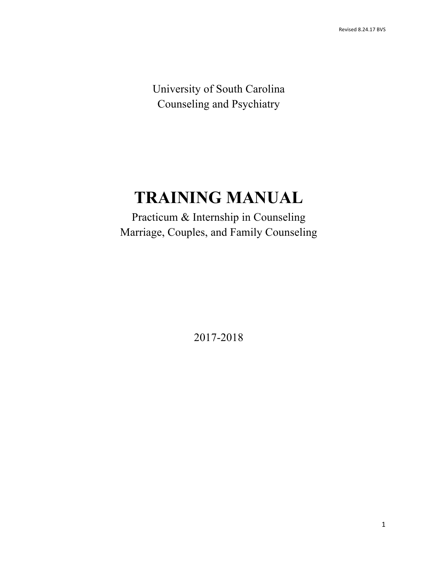University of South Carolina Counseling and Psychiatry

# **TRAINING MANUAL**

 Practicum & Internship in Counseling Marriage, Couples, and Family Counseling

2017-2018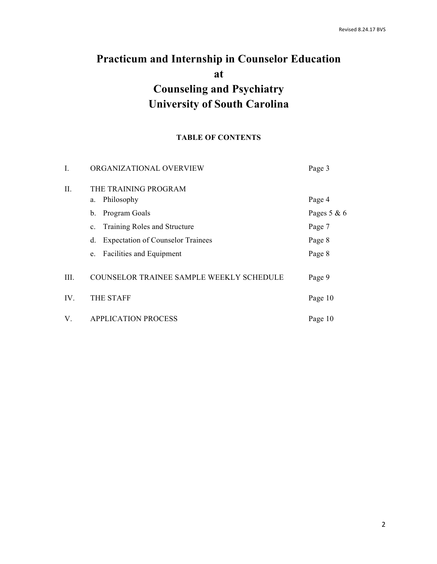## **University of South Carolina Practicum and Internship in Counselor Education at Counseling and Psychiatry**

#### **TABLE OF CONTENTS**

| I.   | ORGANIZATIONAL OVERVIEW                        | Page 3        |
|------|------------------------------------------------|---------------|
| Π.   | THE TRAINING PROGRAM                           |               |
|      | Philosophy<br>a.                               | Page 4        |
|      | Program Goals<br>b.                            | Pages $5 & 6$ |
|      | Training Roles and Structure<br>$\mathbf{c}$ . | Page 7        |
|      | <b>Expectation of Counselor Trainees</b><br>d. | Page 8        |
|      | <b>Facilities and Equipment</b><br>e.          | Page 8        |
| III. | COUNSELOR TRAINEE SAMPLE WEEKLY SCHEDULE       | Page 9        |
| IV.  | <b>THE STAFF</b>                               | Page 10       |
| V.   | <b>APPLICATION PROCESS</b>                     | Page 10       |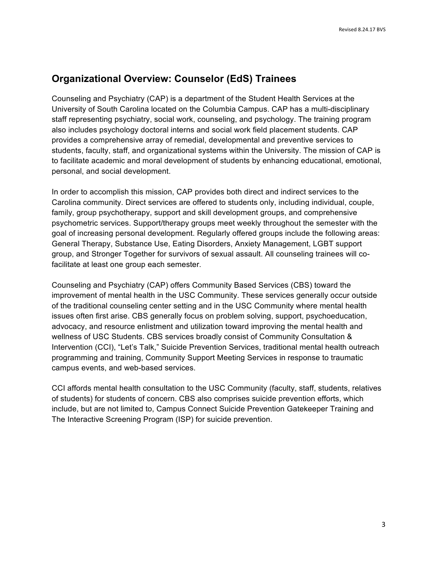## **Organizational Overview: Counselor (EdS) Trainees**

 Counseling and Psychiatry (CAP) is a department of the Student Health Services at the University of South Carolina located on the Columbia Campus. CAP has a multi-disciplinary staff representing psychiatry, social work, counseling, and psychology. The training program also includes psychology doctoral interns and social work field placement students. CAP provides a comprehensive array of remedial, developmental and preventive services to students, faculty, staff, and organizational systems within the University. The mission of CAP is personal, and social development. to facilitate academic and moral development of students by enhancing educational, emotional,

 In order to accomplish this mission, CAP provides both direct and indirect services to the Carolina community. Direct services are offered to students only, including individual, couple, psychometric services. Support/therapy groups meet weekly throughout the semester with the goal of increasing personal development. Regularly offered groups include the following areas: General Therapy, Substance Use, Eating Disorders, Anxiety Management, LGBT support group, and Stronger Together for survivors of sexual assault. All counseling trainees will co- facilitate at least one group each semester. family, group psychotherapy, support and skill development groups, and comprehensive

 Counseling and Psychiatry (CAP) offers Community Based Services (CBS) toward the improvement of mental health in the USC Community. These services generally occur outside issues often first arise. CBS generally focus on problem solving, support, psychoeducation, wellness of USC Students. CBS services broadly consist of Community Consultation & programming and training, Community Support Meeting Services in response to traumatic campus events, and web-based services. of the traditional counseling center setting and in the USC Community where mental health advocacy, and resource enlistment and utilization toward improving the mental health and Intervention (CCI), "Let's Talk," Suicide Prevention Services, traditional mental health outreach

campus events, and web-based services.<br>CCI affords mental health consultation to the USC Community (faculty, staff, students, relatives of students) for students of concern. CBS also comprises suicide prevention efforts, which include, but are not limited to, Campus Connect Suicide Prevention Gatekeeper Training and The Interactive Screening Program (ISP) for suicide prevention.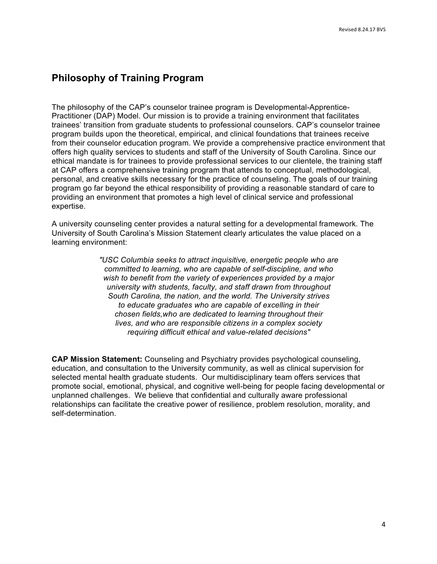## **Philosophy of Training Program**

 The philosophy of the CAP's counselor trainee program is Developmental-Apprentice- Practitioner (DAP) Model. Our mission is to provide a training environment that facilitates trainees' transition from graduate students to professional counselors. CAP's counselor trainee program builds upon the theoretical, empirical, and clinical foundations that trainees receive from their counselor education program. We provide a comprehensive practice environment that offers high quality services to students and staff of the University of South Carolina. Since our at CAP offers a comprehensive training program that attends to conceptual, methodological, personal, and creative skills necessary for the practice of counseling. The goals of our training program go far beyond the ethical responsibility of providing a reasonable standard of care to providing an environment that promotes a high level of clinical service and professional ethical mandate is for trainees to provide professional services to our clientele, the training staff expertise.

 A university counseling center provides a natural setting for a developmental framework. The University of South Carolina's Mission Statement clearly articulates the value placed on a learning environment:

> *"USC Columbia seeks to attract inquisitive, energetic people who are committed to learning, who are capable of self-discipline, and who wish to benefit from the variety of experiences provided by a major university with students, faculty, and staff drawn from throughout South Carolina, the nation, and the world. The University strives chosen fields,who are dedicated to learning throughout their lives, and who are responsible citizens in a complex society requiring difficult ethical and value-related decisions" to educate graduates who are capable of excelling in their*

 education, and consultation to the University community, as well as clinical supervision for selected mental health graduate students. Our multidisciplinary team offers services that promote social, emotional, physical, and cognitive well-being for people facing developmental or unplanned challenges. We believe that confidential and culturally aware professional relationships can facilitate the creative power of resilience, problem resolution, morality, and **CAP Mission Statement:** Counseling and Psychiatry provides psychological counseling, self-determination.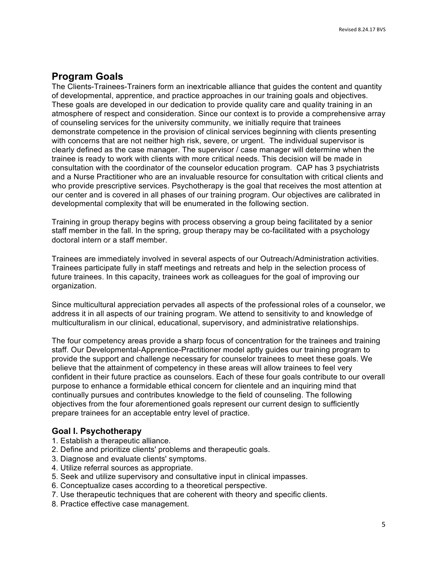## **Program Goals**

 The Clients-Trainees-Trainers form an inextricable alliance that guides the content and quantity of developmental, apprentice, and practice approaches in our training goals and objectives. These goals are developed in our dedication to provide quality care and quality training in an atmosphere of respect and consideration. Since our context is to provide a comprehensive array of counseling services for the university community, we initially require that trainees demonstrate competence in the provision of clinical services beginning with clients presenting with concerns that are not neither high risk, severe, or urgent. The individual supervisor is clearly defined as the case manager. The supervisor / case manager will determine when the trainee is ready to work with clients with more critical needs. This decision will be made in consultation with the coordinator of the counselor education program. CAP has 3 psychiatrists and a Nurse Practitioner who are an invaluable resource for consultation with critical clients and who provide prescriptive services. Psychotherapy is the goal that receives the most attention at our center and is covered in all phases of our training program. Our objectives are calibrated in developmental complexity that will be enumerated in the following section.

 Training in group therapy begins with process observing a group being facilitated by a senior staff member in the fall. In the spring, group therapy may be co-facilitated with a psychology doctoral intern or a staff member.

 Trainees are immediately involved in several aspects of our Outreach/Administration activities. Trainees participate fully in staff meetings and retreats and help in the selection process of future trainees. In this capacity, trainees work as colleagues for the goal of improving our organization.

 Since multicultural appreciation pervades all aspects of the professional roles of a counselor, we address it in all aspects of our training program. We attend to sensitivity to and knowledge of multiculturalism in our clinical, educational, supervisory, and administrative relationships.

 The four competency areas provide a sharp focus of concentration for the trainees and training staff. Our Developmental-Apprentice-Practitioner model aptly guides our training program to provide the support and challenge necessary for counselor trainees to meet these goals. We believe that the attainment of competency in these areas will allow trainees to feel very confident in their future practice as counselors. Each of these four goals contribute to our overall continually pursues and contributes knowledge to the field of counseling. The following objectives from the four aforementioned goals represent our current design to sufficiently purpose to enhance a formidable ethical concern for clientele and an inquiring mind that prepare trainees for an acceptable entry level of practice.

#### **Goal I. Psychotherapy**

- 1. Establish a therapeutic alliance.
- 2. Define and prioritize clients' problems and therapeutic goals.
- 3. Diagnose and evaluate clients' symptoms.
- 4. Utilize referral sources as appropriate.
- 5. Seek and utilize supervisory and consultative input in clinical impasses.
- 6. Conceptualize cases according to a theoretical perspective.
- 7. Use therapeutic techniques that are coherent with theory and specific clients.
- 8. Practice effective case management.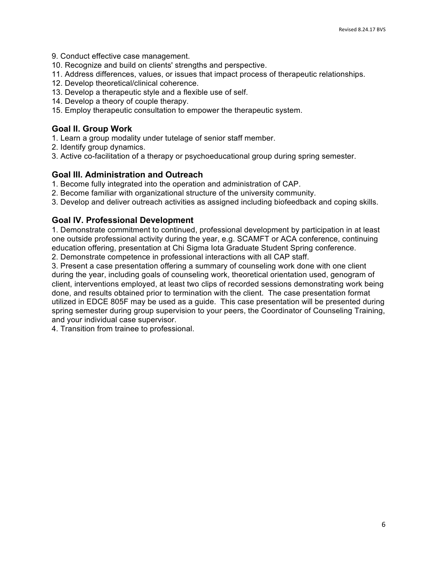- 9. Conduct effective case management.
- 10. Recognize and build on clients' strengths and perspective.
- 11. Address differences, values, or issues that impact process of therapeutic relationships.
- 12. Develop theoretical/clinical coherence.
- 13. Develop a therapeutic style and a flexible use of self.
- 14. Develop a theory of couple therapy.
- 15. Employ therapeutic consultation to empower the therapeutic system.

#### **Goal II. Group Work**

- 1. Learn a group modality under tutelage of senior staff member.
- 2. Identify group dynamics.

3. Active co-facilitation of a therapy or psychoeducational group during spring semester.

#### **Goal III. Administration and Outreach**

- 1. Become fully integrated into the operation and administration of CAP.
- 2. Become familiar with organizational structure of the university community.
- 3. Develop and deliver outreach activities as assigned including biofeedback and coping skills.

#### **Goal IV. Professional Development**

 1. Demonstrate commitment to continued, professional development by participation in at least one outside professional activity during the year, e.g. SCAMFT or ACA conference, continuing education offering, presentation at Chi Sigma Iota Graduate Student Spring conference.

2. Demonstrate competence in professional interactions with all CAP staff.

 3. Present a case presentation offering a summary of counseling work done with one client during the year, including goals of counseling work, theoretical orientation used, genogram of client, interventions employed, at least two clips of recorded sessions demonstrating work being done, and results obtained prior to termination with the client. The case presentation format utilized in EDCE 805F may be used as a guide. This case presentation will be presented during spring semester during group supervision to your peers, the Coordinator of Counseling Training, and your individual case supervisor.

4. Transition from trainee to professional.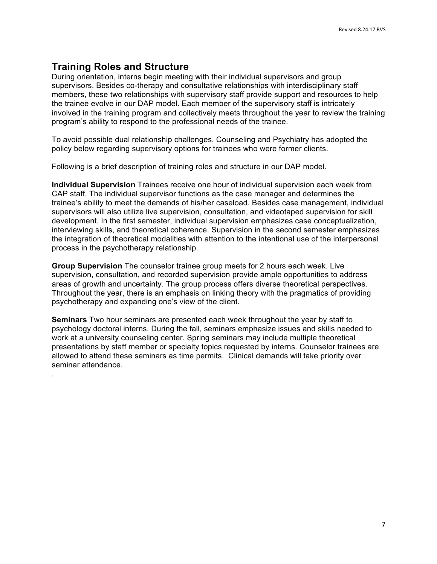## **Training Roles and Structure**

.

 During orientation, interns begin meeting with their individual supervisors and group supervisors. Besides co-therapy and consultative relationships with interdisciplinary staff members, these two relationships with supervisory staff provide support and resources to help the trainee evolve in our DAP model. Each member of the supervisory staff is intricately involved in the training program and collectively meets throughout the year to review the training program's ability to respond to the professional needs of the trainee.

 To avoid possible dual relationship challenges, Counseling and Psychiatry has adopted the policy below regarding supervisory options for trainees who were former clients.

Following is a brief description of training roles and structure in our DAP model.

 **Individual Supervision** Trainees receive one hour of individual supervision each week from trainee's ability to meet the demands of his/her caseload. Besides case management, individual supervisors will also utilize live supervision, consultation, and videotaped supervision for skill development. In the first semester, individual supervision emphasizes case conceptualization, interviewing skills, and theoretical coherence. Supervision in the second semester emphasizes CAP staff. The individual supervisor functions as the case manager and determines the the integration of theoretical modalities with attention to the intentional use of the interpersonal process in the psychotherapy relationship.

 **Group Supervision** The counselor trainee group meets for 2 hours each week. Live supervision, consultation, and recorded supervision provide ample opportunities to address areas of growth and uncertainty. The group process offers diverse theoretical perspectives. Throughout the year, there is an emphasis on linking theory with the pragmatics of providing psychotherapy and expanding one's view of the client.

 **Seminars** Two hour seminars are presented each week throughout the year by staff to psychology doctoral interns. During the fall, seminars emphasize issues and skills needed to work at a university counseling center. Spring seminars may include multiple theoretical presentations by staff member or specialty topics requested by interns. Counselor trainees are allowed to attend these seminars as time permits. Clinical demands will take priority over seminar attendance.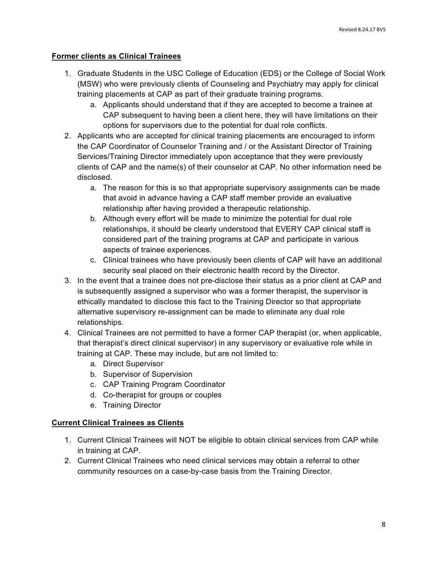#### **Former clients as Clinical Trainees**

- 1. Graduate Students in the USC College of Education (EDS) or the College of Social Work (MSW) who were previously clients of Counseling and Psychiatry may apply for clinical training placements at CAP as part of their graduate training programs.
	- a. Applicants should understand that if they are accepted to become a trainee at CAP subsequent to having been a client here, they will have limitations on their options for supervisors due to the potential for dual role conflicts.
- 2. Applicants who are accepted for clinical training placements are encouraged to inform the CAP Coordinator of Counselor Training and / or the Assistant Director of Training Services/Training Director immediately upon acceptance that they were previously clients of CAP and the name(s) of their counselor at CAP. No other information need be disclosed.
	- disclosed.<br>a. The reason for this is so that appropriate supervisory assignments can be made that avoid in advance having a CAP staff member provide an evaluative relationship after having provided a therapeutic relationship.
		- b. Although every effort will be made to minimize the potential for dual role relationships, it should be clearly understood that EVERY CAP clinical staff is considered part of the training programs at CAP and participate in various aspects of trainee experiences.
		- c. Clinical trainees who have previously been clients of CAP will have an additional security seal placed on their electronic health record by the Director.
- 3. In the event that a trainee does not pre-disclose their status as a prior client at CAP and is subsequently assigned a supervisor who was a former therapist, the supervisor is ethically mandated to disclose this fact to the Training Director so that appropriate alternative supervisory re-assignment can be made to eliminate any dual role relationships.
- 4. Clinical Trainees are not permitted to have a former CAP therapist (or, when applicable, that therapist's direct clinical supervisor) in any supervisory or evaluative role while in training at CAP. These may include, but are not limited to:
	- a. Direct Supervisor
	- b. Supervisor of Supervision
	- c. CAP Training Program Coordinator
	- d. Co-therapist for groups or couples
	- e. Training Director

#### **Current Clinical Trainees as Clients**

- 1. Current Clinical Trainees will NOT be eligible to obtain clinical services from CAP while in training at CAP.
- 2. Current Clinical Trainees who need clinical services may obtain a referral to other community resources on a case-by-case basis from the Training Director.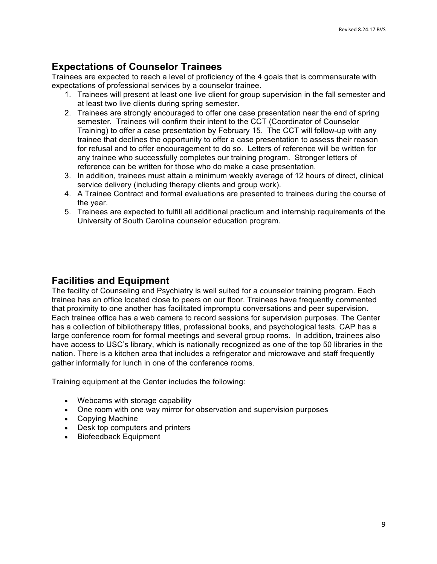## **Expectations of Counselor Trainees**

 Trainees are expected to reach a level of proficiency of the 4 goals that is commensurate with expectations of professional services by a counselor trainee.

- 1. Trainees will present at least one live client for group supervision in the fall semester and at least two live clients during spring semester.
- 2. Trainees are strongly encouraged to offer one case presentation near the end of spring semester. Trainees will confirm their intent to the CCT (Coordinator of Counselor trainee that declines the opportunity to offer a case presentation to assess their reason any trainee who successfully completes our training program. Stronger letters of Training) to offer a case presentation by February 15. The CCT will follow-up with any for refusal and to offer encouragement to do so. Letters of reference will be written for reference can be written for those who do make a case presentation.
- service delivery (including therapy clients and group work). 3. In addition, trainees must attain a minimum weekly average of 12 hours of direct, clinical
- 4. A Trainee Contract and formal evaluations are presented to trainees during the course of the year.
- 5. Trainees are expected to fulfill all additional practicum and internship requirements of the University of South Carolina counselor education program.

## **Facilities and Equipment**

 The facility of Counseling and Psychiatry is well suited for a counselor training program. Each trainee has an office located close to peers on our floor. Trainees have frequently commented Each trainee office has a web camera to record sessions for supervision purposes. The Center has a collection of bibliotherapy titles, professional books, and psychological tests. CAP has a large conference room for formal meetings and several group rooms. In addition, trainees also have access to USC's library, which is nationally recognized as one of the top 50 libraries in the nation. There is a kitchen area that includes a refrigerator and microwave and staff frequently gather informally for lunch in one of the conference rooms. that proximity to one another has facilitated impromptu conversations and peer supervision.

Training equipment at the Center includes the following:

- Webcams with storage capability
- One room with one way mirror for observation and supervision purposes
- Copying Machine
- Desk top computers and printers
- Biofeedback Equipment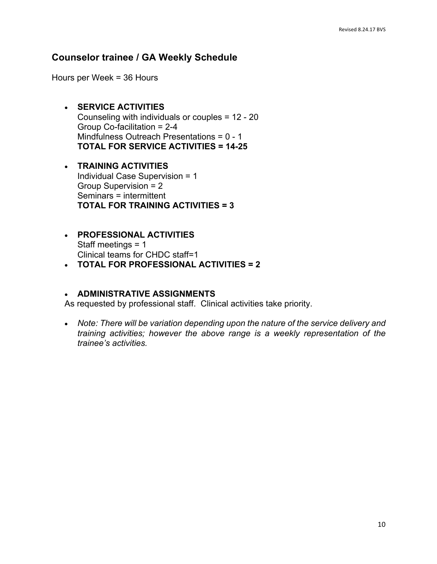#### **Counselor trainee / GA Weekly Schedule**

Hours per Week = 36 Hours

- Counseling with individuals or couples = 12 20 Group Co-facilitation = 2-4 Mindfulness Outreach Presentations = 0 - 1  **TOTAL FOR SERVICE ACTIVITIES = 14-25**  • **SERVICE ACTIVITIES**
- • **TRAINING ACTIVITIES**  Individual Case Supervision = 1 Group Supervision = 2  **TOTAL FOR TRAINING ACTIVITIES = 3**  Seminars = intermittent
- Staff meetings  $= 1$ Staff meetings = 1<br>Clinical teams for CHDC staff=1 • **PROFESSIONAL ACTIVITIES**
- **TOTAL FOR PROFESSIONAL ACTIVITIES = 2**

#### • **ADMINISTRATIVE ASSIGNMENTS**

As requested by professional staff. Clinical activities take priority.

• Note: There will be variation depending upon the nature of the service delivery and  *training activities; however the above range is a weekly representation of the trainee's activities.*